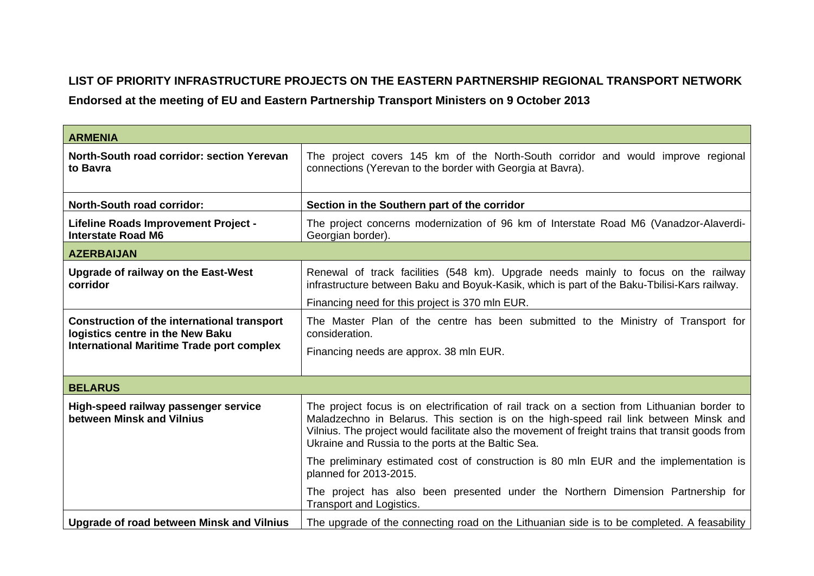## **LIST OF PRIORITY INFRASTRUCTURE PROJECTS ON THE EASTERN PARTNERSHIP REGIONAL TRANSPORT NETWORK**

**Endorsed at the meeting of EU and Eastern Partnership Transport Ministers on 9 October 2013**

| <b>ARMENIA</b>                                                                                                                             |                                                                                                                                                                                                                                                                                                                                                  |  |
|--------------------------------------------------------------------------------------------------------------------------------------------|--------------------------------------------------------------------------------------------------------------------------------------------------------------------------------------------------------------------------------------------------------------------------------------------------------------------------------------------------|--|
| North-South road corridor: section Yerevan<br>to Bavra                                                                                     | The project covers 145 km of the North-South corridor and would improve regional<br>connections (Yerevan to the border with Georgia at Bavra).                                                                                                                                                                                                   |  |
| North-South road corridor:                                                                                                                 | Section in the Southern part of the corridor                                                                                                                                                                                                                                                                                                     |  |
| Lifeline Roads Improvement Project -<br><b>Interstate Road M6</b>                                                                          | The project concerns modernization of 96 km of Interstate Road M6 (Vanadzor-Alaverdi-<br>Georgian border).                                                                                                                                                                                                                                       |  |
| <b>AZERBAIJAN</b>                                                                                                                          |                                                                                                                                                                                                                                                                                                                                                  |  |
| Upgrade of railway on the East-West<br>corridor                                                                                            | Renewal of track facilities (548 km). Upgrade needs mainly to focus on the railway<br>infrastructure between Baku and Boyuk-Kasik, which is part of the Baku-Tbilisi-Kars railway.                                                                                                                                                               |  |
|                                                                                                                                            | Financing need for this project is 370 mln EUR.                                                                                                                                                                                                                                                                                                  |  |
| <b>Construction of the international transport</b><br>logistics centre in the New Baku<br><b>International Maritime Trade port complex</b> | The Master Plan of the centre has been submitted to the Ministry of Transport for<br>consideration.<br>Financing needs are approx. 38 mln EUR.                                                                                                                                                                                                   |  |
| <b>BELARUS</b>                                                                                                                             |                                                                                                                                                                                                                                                                                                                                                  |  |
| High-speed railway passenger service<br>between Minsk and Vilnius                                                                          | The project focus is on electrification of rail track on a section from Lithuanian border to<br>Maladzechno in Belarus. This section is on the high-speed rail link between Minsk and<br>Vilnius. The project would facilitate also the movement of freight trains that transit goods from<br>Ukraine and Russia to the ports at the Baltic Sea. |  |
|                                                                                                                                            | The preliminary estimated cost of construction is 80 mln EUR and the implementation is<br>planned for 2013-2015.                                                                                                                                                                                                                                 |  |
|                                                                                                                                            | The project has also been presented under the Northern Dimension Partnership for<br>Transport and Logistics.                                                                                                                                                                                                                                     |  |
| Upgrade of road between Minsk and Vilnius                                                                                                  | The upgrade of the connecting road on the Lithuanian side is to be completed. A feasability                                                                                                                                                                                                                                                      |  |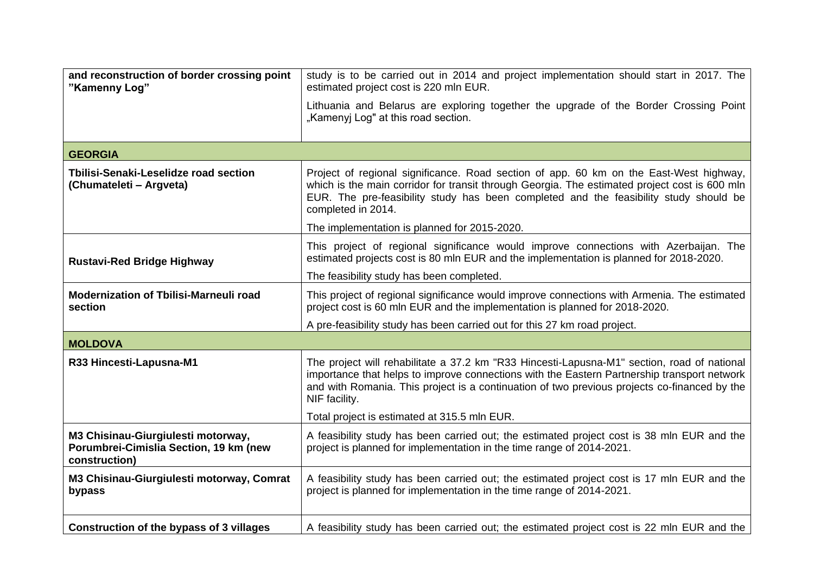| and reconstruction of border crossing point<br>"Kamenny Log"                                  | study is to be carried out in 2014 and project implementation should start in 2017. The<br>estimated project cost is 220 mln EUR.                                                                                                                                                                           |
|-----------------------------------------------------------------------------------------------|-------------------------------------------------------------------------------------------------------------------------------------------------------------------------------------------------------------------------------------------------------------------------------------------------------------|
|                                                                                               | Lithuania and Belarus are exploring together the upgrade of the Border Crossing Point<br>"Kamenyj Log" at this road section.                                                                                                                                                                                |
| <b>GEORGIA</b>                                                                                |                                                                                                                                                                                                                                                                                                             |
| Tbilisi-Senaki-Leselidze road section<br>(Chumateleti – Argveta)                              | Project of regional significance. Road section of app. 60 km on the East-West highway,<br>which is the main corridor for transit through Georgia. The estimated project cost is 600 mln<br>EUR. The pre-feasibility study has been completed and the feasibility study should be<br>completed in 2014.      |
|                                                                                               | The implementation is planned for 2015-2020.                                                                                                                                                                                                                                                                |
| <b>Rustavi-Red Bridge Highway</b>                                                             | This project of regional significance would improve connections with Azerbaijan. The<br>estimated projects cost is 80 mln EUR and the implementation is planned for 2018-2020.                                                                                                                              |
|                                                                                               | The feasibility study has been completed.                                                                                                                                                                                                                                                                   |
| Modernization of Tbilisi-Marneuli road<br>section                                             | This project of regional significance would improve connections with Armenia. The estimated<br>project cost is 60 mln EUR and the implementation is planned for 2018-2020.                                                                                                                                  |
|                                                                                               | A pre-feasibility study has been carried out for this 27 km road project.                                                                                                                                                                                                                                   |
| <b>MOLDOVA</b>                                                                                |                                                                                                                                                                                                                                                                                                             |
| R33 Hincesti-Lapusna-M1                                                                       | The project will rehabilitate a 37.2 km "R33 Hincesti-Lapusna-M1" section, road of national<br>importance that helps to improve connections with the Eastern Partnership transport network<br>and with Romania. This project is a continuation of two previous projects co-financed by the<br>NIF facility. |
|                                                                                               | Total project is estimated at 315.5 mln EUR.                                                                                                                                                                                                                                                                |
| M3 Chisinau-Giurgiulesti motorway,<br>Porumbrei-Cimislia Section, 19 km (new<br>construction) | A feasibility study has been carried out; the estimated project cost is 38 mln EUR and the<br>project is planned for implementation in the time range of 2014-2021.                                                                                                                                         |
| M3 Chisinau-Giurgiulesti motorway, Comrat<br>bypass                                           | A feasibility study has been carried out; the estimated project cost is 17 mln EUR and the<br>project is planned for implementation in the time range of 2014-2021.                                                                                                                                         |
| <b>Construction of the bypass of 3 villages</b>                                               | A feasibility study has been carried out; the estimated project cost is 22 mln EUR and the                                                                                                                                                                                                                  |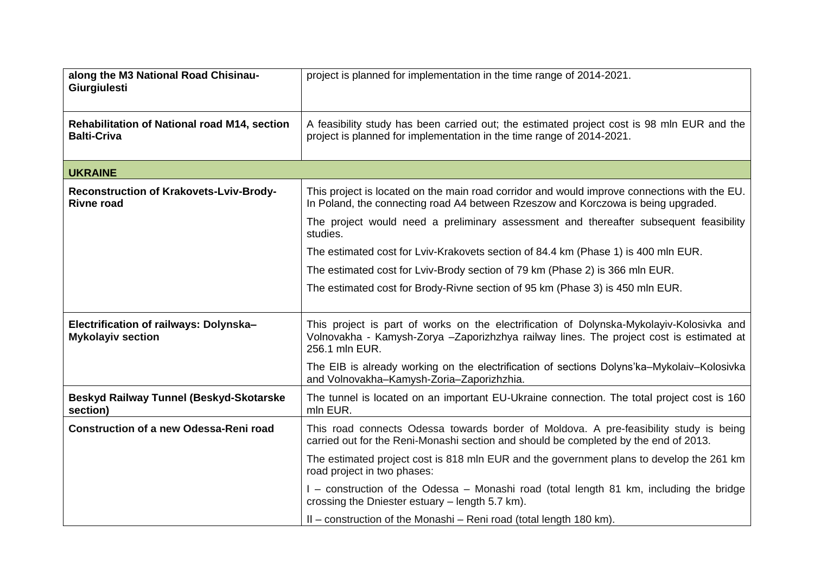| along the M3 National Road Chisinau-<br>Giurgiulesti                | project is planned for implementation in the time range of 2014-2021.                                                                                                                                 |  |
|---------------------------------------------------------------------|-------------------------------------------------------------------------------------------------------------------------------------------------------------------------------------------------------|--|
| Rehabilitation of National road M14, section<br><b>Balti-Criva</b>  | A feasibility study has been carried out; the estimated project cost is 98 mln EUR and the<br>project is planned for implementation in the time range of 2014-2021.                                   |  |
| <b>UKRAINE</b>                                                      |                                                                                                                                                                                                       |  |
| <b>Reconstruction of Krakovets-Lviv-Brody-</b><br><b>Rivne road</b> | This project is located on the main road corridor and would improve connections with the EU.<br>In Poland, the connecting road A4 between Rzeszow and Korczowa is being upgraded.                     |  |
|                                                                     | The project would need a preliminary assessment and thereafter subsequent feasibility<br>studies.                                                                                                     |  |
|                                                                     | The estimated cost for Lviv-Krakovets section of 84.4 km (Phase 1) is 400 mln EUR.                                                                                                                    |  |
|                                                                     | The estimated cost for Lviv-Brody section of 79 km (Phase 2) is 366 mln EUR.                                                                                                                          |  |
|                                                                     | The estimated cost for Brody-Rivne section of 95 km (Phase 3) is 450 mln EUR.                                                                                                                         |  |
| Electrification of railways: Dolynska-<br><b>Mykolayiv section</b>  | This project is part of works on the electrification of Dolynska-Mykolayiv-Kolosivka and<br>Volnovakha - Kamysh-Zorya -Zaporizhzhya railway lines. The project cost is estimated at<br>256.1 mln EUR. |  |
|                                                                     | The EIB is already working on the electrification of sections Dolyns'ka–Mykolaiv–Kolosivka<br>and Volnovakha-Kamysh-Zoria-Zaporizhzhia.                                                               |  |
| Beskyd Railway Tunnel (Beskyd-Skotarske<br>section)                 | The tunnel is located on an important EU-Ukraine connection. The total project cost is 160<br>mln EUR.                                                                                                |  |
| <b>Construction of a new Odessa-Reni road</b>                       | This road connects Odessa towards border of Moldova. A pre-feasibility study is being<br>carried out for the Reni-Monashi section and should be completed by the end of 2013.                         |  |
|                                                                     | The estimated project cost is 818 mln EUR and the government plans to develop the 261 km<br>road project in two phases:                                                                               |  |
|                                                                     | I - construction of the Odessa - Monashi road (total length 81 km, including the bridge<br>crossing the Dniester estuary - length 5.7 km).                                                            |  |
|                                                                     | II – construction of the Monashi – Reni road (total length 180 km).                                                                                                                                   |  |